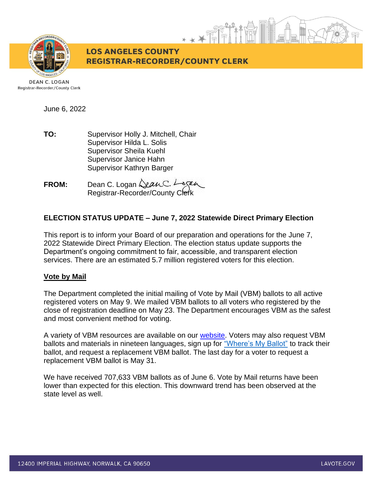

**LOS ANGELES COUNTY REGISTRAR-RECORDER/COUNTY CLERK** 

**DEAN C. LOGAN** Registrar-Recorder/County Clerk

June 6, 2022

**TO:** Supervisor Holly J. Mitchell, Chair Supervisor Hilda L. Solis Supervisor Sheila Kuehl Supervisor Janice Hahn Supervisor Kathryn Barger

**FROM:** Dean C. Logan  $\triangle\ell$ an C. 4 Registrar-Recorder/County Clerk

# **ELECTION STATUS UPDATE – June 7, 2022 Statewide Direct Primary Election**

This report is to inform your Board of our preparation and operations for the June 7, 2022 Statewide Direct Primary Election. The election status update supports the Department's ongoing commitment to fair, accessible, and transparent election services. There are an estimated 5.7 million registered voters for this election.

### **Vote by Mail**

The Department completed the initial mailing of Vote by Mail (VBM) ballots to all active registered voters on May 9. We mailed VBM ballots to all voters who registered by the close of registration deadline on May 23. The Department encourages VBM as the safest and most convenient method for voting.

A variety of VBM resources are available on our [website.](https://lavote.gov/home/voting-elections/voting-options/vote-by-mail/how-to-vote-by-mail) Voters may also request VBM ballots and materials in nineteen languages, sign up for ["Where's My Ballot"](https://california.ballottrax.net/voter/) to track their ballot, and request a replacement VBM ballot. The last day for a voter to request a replacement VBM ballot is May 31.

We have received 707,633 VBM ballots as of June 6. Vote by Mail returns have been lower than expected for this election. This downward trend has been observed at the state level as well.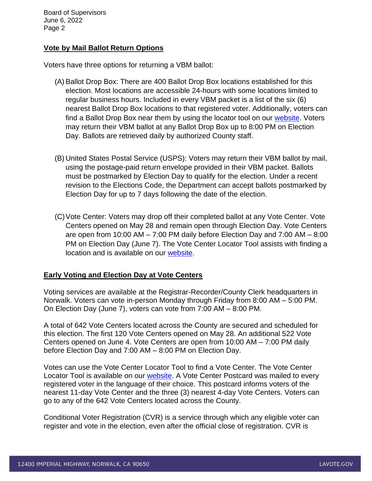### **Vote by Mail Ballot Return Options**

Voters have three options for returning a VBM ballot:

- (A)Ballot Drop Box: There are 400 Ballot Drop Box locations established for this election. Most locations are accessible 24-hours with some locations limited to regular business hours. Included in every VBM packet is a list of the six (6) nearest Ballot Drop Box locations to that registered voter. Additionally, voters can find a Ballot Drop Box near them by using the locator tool on our [website.](https://locator.lavote.gov/locations/vbm?culture=en) Voters may return their VBM ballot at any Ballot Drop Box up to 8:00 PM on Election Day. Ballots are retrieved daily by authorized County staff.
- (B) United States Postal Service (USPS): Voters may return their VBM ballot by mail, using the postage-paid return envelope provided in their VBM packet. Ballots must be postmarked by Election Day to qualify for the election. Under a recent revision to the Elections Code, the Department can accept ballots postmarked by Election Day for up to 7 days following the date of the election.
- (C)Vote Center: Voters may drop off their completed ballot at any Vote Center. Vote Centers opened on May 28 and remain open through Election Day. Vote Centers are open from 10:00 AM – 7:00 PM daily before Election Day and 7:00 AM – 8:00 PM on Election Day (June 7). The Vote Center Locator Tool assists with finding a location and is available on our [website.](https://lavote.gov/home/voting-elections/voting-options/voting-in-person)

### **Early Voting and Election Day at Vote Centers**

Voting services are available at the Registrar-Recorder/County Clerk headquarters in Norwalk. Voters can vote in-person Monday through Friday from 8:00 AM – 5:00 PM. On Election Day (June 7), voters can vote from 7:00 AM – 8:00 PM.

A total of 642 Vote Centers located across the County are secured and scheduled for this election. The first 120 Vote Centers opened on May 28. An additional 522 Vote Centers opened on June 4. Vote Centers are open from 10:00 AM – 7:00 PM daily before Election Day and 7:00 AM – 8:00 PM on Election Day.

Votes can use the Vote Center Locator Tool to find a Vote Center. The Vote Center Locator Tool is available on our [website.](https://locator.lavote.gov/locations/vc/?id=4291&culture=en) A Vote Center Postcard was mailed to every registered voter in the language of their choice. This postcard informs voters of the nearest 11-day Vote Center and the three (3) nearest 4-day Vote Centers. Voters can go to any of the 642 Vote Centers located across the County.

Conditional Voter Registration (CVR) is a service through which any eligible voter can register and vote in the election, even after the official close of registration. CVR is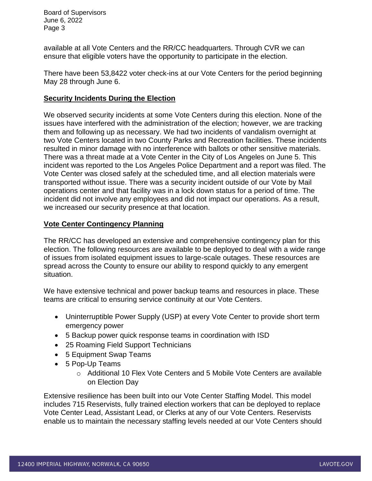available at all Vote Centers and the RR/CC headquarters. Through CVR we can ensure that eligible voters have the opportunity to participate in the election.

There have been 53,8422 voter check-ins at our Vote Centers for the period beginning May 28 through June 6.

### **Security Incidents During the Election**

We observed security incidents at some Vote Centers during this election. None of the issues have interfered with the administration of the election; however, we are tracking them and following up as necessary. We had two incidents of vandalism overnight at two Vote Centers located in two County Parks and Recreation facilities. These incidents resulted in minor damage with no interference with ballots or other sensitive materials. There was a threat made at a Vote Center in the City of Los Angeles on June 5. This incident was reported to the Los Angeles Police Department and a report was filed. The Vote Center was closed safely at the scheduled time, and all election materials were transported without issue. There was a security incident outside of our Vote by Mail operations center and that facility was in a lock down status for a period of time. The incident did not involve any employees and did not impact our operations. As a result, we increased our security presence at that location.

### **Vote Center Contingency Planning**

The RR/CC has developed an extensive and comprehensive contingency plan for this election. The following resources are available to be deployed to deal with a wide range of issues from isolated equipment issues to large-scale outages. These resources are spread across the County to ensure our ability to respond quickly to any emergent situation.

We have extensive technical and power backup teams and resources in place. These teams are critical to ensuring service continuity at our Vote Centers.

- Uninterruptible Power Supply (USP) at every Vote Center to provide short term emergency power
- 5 Backup power quick response teams in coordination with ISD
- 25 Roaming Field Support Technicians
- 5 Equipment Swap Teams
- 5 Pop-Up Teams
	- o Additional 10 Flex Vote Centers and 5 Mobile Vote Centers are available on Election Day

Extensive resilience has been built into our Vote Center Staffing Model. This model includes 715 Reservists, fully trained election workers that can be deployed to replace Vote Center Lead, Assistant Lead, or Clerks at any of our Vote Centers. Reservists enable us to maintain the necessary staffing levels needed at our Vote Centers should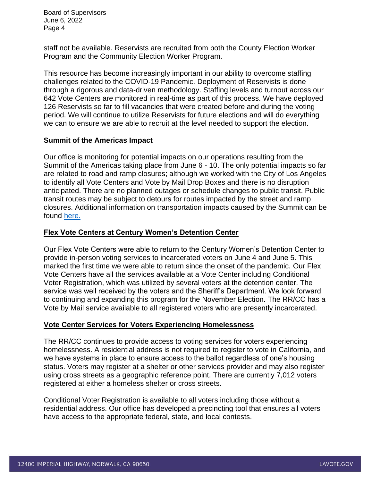staff not be available. Reservists are recruited from both the County Election Worker Program and the Community Election Worker Program.

This resource has become increasingly important in our ability to overcome staffing challenges related to the COVID-19 Pandemic. Deployment of Reservists is done through a rigorous and data-driven methodology. Staffing levels and turnout across our 642 Vote Centers are monitored in real-time as part of this process. We have deployed 126 Reservists so far to fill vacancies that were created before and during the voting period. We will continue to utilize Reservists for future elections and will do everything we can to ensure we are able to recruit at the level needed to support the election.

### **Summit of the Americas Impact**

Our office is monitoring for potential impacts on our operations resulting from the Summit of the Americas taking place from June 6 - 10. The only potential impacts so far are related to road and ramp closures; although we worked with the City of Los Angeles to identify all Vote Centers and Vote by Mail Drop Boxes and there is no disruption anticipated. There are no planned outages or schedule changes to public transit. Public transit routes may be subject to detours for routes impacted by the street and ramp closures. Additional information on transportation impacts caused by the Summit can be found [here.](https://www.lamayor.org/city-los-angeles-host-ix-summit-americas-june-6-10-2022)

### **Flex Vote Centers at Century Women's Detention Center**

Our Flex Vote Centers were able to return to the Century Women's Detention Center to provide in-person voting services to incarcerated voters on June 4 and June 5. This marked the first time we were able to return since the onset of the pandemic. Our Flex Vote Centers have all the services available at a Vote Center including Conditional Voter Registration, which was utilized by several voters at the detention center. The service was well received by the voters and the Sheriff's Department. We look forward to continuing and expanding this program for the November Election. The RR/CC has a Vote by Mail service available to all registered voters who are presently incarcerated.

### **Vote Center Services for Voters Experiencing Homelessness**

The RR/CC continues to provide access to voting services for voters experiencing homelessness. A residential address is not required to register to vote in California, and we have systems in place to ensure access to the ballot regardless of one's housing status. Voters may register at a shelter or other services provider and may also register using cross streets as a geographic reference point. There are currently 7,012 voters registered at either a homeless shelter or cross streets.

Conditional Voter Registration is available to all voters including those without a residential address. Our office has developed a precincting tool that ensures all voters have access to the appropriate federal, state, and local contests.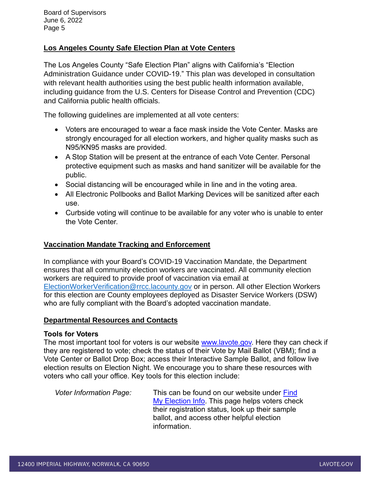# **Los Angeles County Safe Election Plan at Vote Centers**

The Los Angeles County "Safe Election Plan" aligns with California's "Election Administration Guidance under COVID-19." This plan was developed in consultation with relevant health authorities using the best public health information available, including guidance from the U.S. Centers for Disease Control and Prevention (CDC) and California public health officials.

The following guidelines are implemented at all vote centers:

- Voters are encouraged to wear a face mask inside the Vote Center. Masks are strongly encouraged for all election workers, and higher quality masks such as N95/KN95 masks are provided.
- A Stop Station will be present at the entrance of each Vote Center. Personal protective equipment such as masks and hand sanitizer will be available for the public.
- Social distancing will be encouraged while in line and in the voting area.
- All Electronic Pollbooks and Ballot Marking Devices will be sanitized after each use.
- Curbside voting will continue to be available for any voter who is unable to enter the Vote Center.

# **Vaccination Mandate Tracking and Enforcement**

In compliance with your Board's COVID-19 Vaccination Mandate, the Department ensures that all community election workers are vaccinated. All community election workers are required to provide proof of vaccination via email at [ElectionWorkerVerification@rrcc.lacounty.gov](mailto:ElectionWorkerVerification@rrcc.lacounty.gov) or in person. All other Election Workers for this election are County employees deployed as Disaster Service Workers (DSW) who are fully compliant with the Board's adopted vaccination mandate.

### **Departmental Resources and Contacts**

### **Tools for Voters**

The most important tool for voters is our website [www.lavote.gov.](http://www.lavote.gov/) Here they can check if they are registered to vote; check the status of their Vote by Mail Ballot (VBM); find a Vote Center or Ballot Drop Box; access their Interactive Sample Ballot, and follow live election results on Election Night. We encourage you to share these resources with voters who call your office. Key tools for this election include:

*Voter Information Page:* This can be found on our website under [Find](http://www.lavote.gov/home/voting-elections/current-elections/find-my-election-information)  [My Election Info.](http://www.lavote.gov/home/voting-elections/current-elections/find-my-election-information) This page helps voters check their registration status, look up their sample ballot, and access other helpful election information.